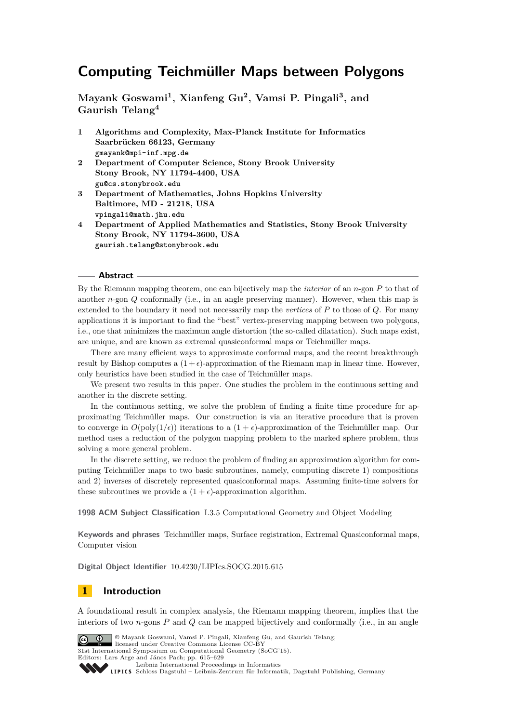**Mayank Goswami<sup>1</sup> , Xianfeng Gu<sup>2</sup> , Vamsi P. Pingali<sup>3</sup> , and Gaurish Telang<sup>4</sup>**

- **1 Algorithms and Complexity, Max-Planck Institute for Informatics Saarbrücken 66123, Germany gmayank@mpi-inf.mpg.de**
- **2 Department of Computer Science, Stony Brook University Stony Brook, NY 11794-4400, USA gu@cs.stonybrook.edu**
- **3 Department of Mathematics, Johns Hopkins University Baltimore, MD - 21218, USA vpingali@math.jhu.edu**
- **4 Department of Applied Mathematics and Statistics, Stony Brook University Stony Brook, NY 11794-3600, USA gaurish.telang@stonybrook.edu**

### **Abstract**

By the Riemann mapping theorem, one can bijectively map the *interior* of an *n*-gon *P* to that of another *n*-gon *Q* conformally (i.e., in an angle preserving manner). However, when this map is extended to the boundary it need not necessarily map the *vertices* of *P* to those of *Q*. For many applications it is important to find the "best" vertex-preserving mapping between two polygons, i.e., one that minimizes the maximum angle distortion (the so-called dilatation). Such maps exist, are unique, and are known as extremal quasiconformal maps or Teichmüller maps.

There are many efficient ways to approximate conformal maps, and the recent breakthrough result by Bishop computes a  $(1 + \epsilon)$ -approximation of the Riemann map in linear time. However, only heuristics have been studied in the case of Teichmüller maps.

We present two results in this paper. One studies the problem in the continuous setting and another in the discrete setting.

In the continuous setting, we solve the problem of finding a finite time procedure for approximating Teichmüller maps. Our construction is via an iterative procedure that is proven to converge in  $O(poly(1/\epsilon))$  iterations to a  $(1+\epsilon)$ -approximation of the Teichmüller map. Our method uses a reduction of the polygon mapping problem to the marked sphere problem, thus solving a more general problem.

In the discrete setting, we reduce the problem of finding an approximation algorithm for computing Teichmüller maps to two basic subroutines, namely, computing discrete 1) compositions and 2) inverses of discretely represented quasiconformal maps. Assuming finite-time solvers for these subroutines we provide a  $(1 + \epsilon)$ -approximation algorithm.

**1998 ACM Subject Classification** I.3.5 Computational Geometry and Object Modeling

**Keywords and phrases** Teichmüller maps, Surface registration, Extremal Quasiconformal maps, Computer vision

**Digital Object Identifier** [10.4230/LIPIcs.SOCG.2015.615](http://dx.doi.org/10.4230/LIPIcs.SOCG.2015.615)

licensed under Creative Commons License CC-BY

# **1 Introduction**

A foundational result in complex analysis, the Riemann mapping theorem, implies that the interiors of two *n*-gons *P* and *Q* can be mapped bijectively and conformally (i.e., in an angle



Editors: Lars Arge and János Pach; pp. 615[–629](#page-14-0) [Leibniz International Proceedings in Informatics](http://www.dagstuhl.de/lipics/)

© Mayank Goswami, Vamsi P. Pingali, Xianfeng Gu, and Gaurish Telang;

[Schloss Dagstuhl – Leibniz-Zentrum für Informatik, Dagstuhl Publishing, Germany](http://www.dagstuhl.de)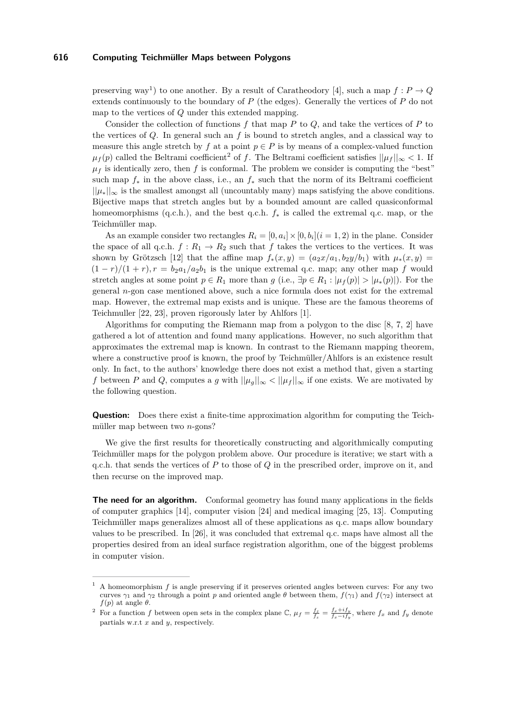preserving way<sup>[1](#page-1-0)</sup>) to one another. By a result of Caratheodory [\[4\]](#page-13-0), such a map  $f: P \to Q$ extends continuously to the boundary of *P* (the edges). Generally the vertices of *P* do not map to the vertices of *Q* under this extended mapping.

Consider the collection of functions *f* that map *P* to *Q*, and take the vertices of *P* to the vertices of *Q*. In general such an *f* is bound to stretch angles, and a classical way to measure this angle stretch by *f* at a point  $p \in P$  is by means of a complex-valued function  $\mu_f(p)$  called the Beltrami coefficient<sup>[2](#page-1-1)</sup> of *f*. The Beltrami coefficient satisfies  $||\mu_f||_{\infty} < 1$ . If  $\mu_f$  is identically zero, then *f* is conformal. The problem we consider is computing the "best" such map  $f_*$  in the above class, i.e., an  $f_*$  such that the norm of its Beltrami coefficient  $||\mu_*||_{\infty}$  is the smallest amongst all (uncountably many) maps satisfying the above conditions. Bijective maps that stretch angles but by a bounded amount are called quasiconformal homeomorphisms (q.c.h.), and the best q.c.h. *f*<sup>∗</sup> is called the extremal q.c. map, or the Teichmüller map.

As an example consider two rectangles  $R_i = [0, a_i] \times [0, b_i]$  ( $i = 1, 2$ ) in the plane. Consider the space of all q.c.h.  $f: R_1 \to R_2$  such that  $f$  takes the vertices to the vertices. It was shown by Grötzsch [\[12\]](#page-14-1) that the affine map  $f_*(x, y) = (a_2x/a_1, b_2y/b_1)$  with  $\mu_*(x, y) =$  $(1 - r)/(1 + r)$ ,  $r = b_2 a_1/a_2 b_1$  is the unique extremal q.c. map; any other map *f* would stretch angles at some point  $p \in R_1$  more than  $g$  (i.e.,  $\exists p \in R_1 : |\mu_f(p)| > |\mu_*(p)|$ ). For the general *n*-gon case mentioned above, such a nice formula does not exist for the extremal map. However, the extremal map exists and is unique. These are the famous theorems of Teichmuller [\[22,](#page-14-2) [23\]](#page-14-3), proven rigorously later by Ahlfors [\[1\]](#page-13-1).

Algorithms for computing the Riemann map from a polygon to the disc [\[8,](#page-14-4) [7,](#page-13-2) [2\]](#page-13-3) have gathered a lot of attention and found many applications. However, no such algorithm that approximates the extremal map is known. In contrast to the Riemann mapping theorem, where a constructive proof is known, the proof by Teichmüller/Ahlfors is an existence result only. In fact, to the authors' knowledge there does not exist a method that, given a starting *f* between *P* and *Q*, computes a *g* with  $||\mu_g||_{\infty} < ||\mu_f||_{\infty}$  if one exists. We are motivated by the following question.

**Question:** Does there exist a finite-time approximation algorithm for computing the Teichmüller map between two *n*-gons?

We give the first results for theoretically constructing and algorithmically computing Teichmüller maps for the polygon problem above. Our procedure is iterative; we start with a q.c.h. that sends the vertices of *P* to those of *Q* in the prescribed order, improve on it, and then recurse on the improved map.

**The need for an algorithm.** Conformal geometry has found many applications in the fields of computer graphics [\[14\]](#page-14-5), computer vision [\[24\]](#page-14-6) and medical imaging [\[25,](#page-14-7) [13\]](#page-14-8). Computing Teichmüller maps generalizes almost all of these applications as q.c. maps allow boundary values to be prescribed. In [\[26\]](#page-14-9), it was concluded that extremal q.c. maps have almost all the properties desired from an ideal surface registration algorithm, one of the biggest problems in computer vision.

<span id="page-1-0"></span><sup>1</sup> A homeomorphism *f* is angle preserving if it preserves oriented angles between curves: For any two curves  $\gamma_1$  and  $\gamma_2$  through a point *p* and oriented angle  $\theta$  between them,  $f(\gamma_1)$  and  $f(\gamma_2)$  intersect at  $f(p)$  at angle  $\theta$ .

<span id="page-1-1"></span><sup>&</sup>lt;sup>2</sup> For a function f between open sets in the complex plane C,  $\mu_f = \frac{f_{\bar{z}}}{f_z} = \frac{f_x + i f_y}{f_x - i f_y}$ , where  $f_x$  and  $f_y$  denote partials w.r.t *x* and *y*, respectively.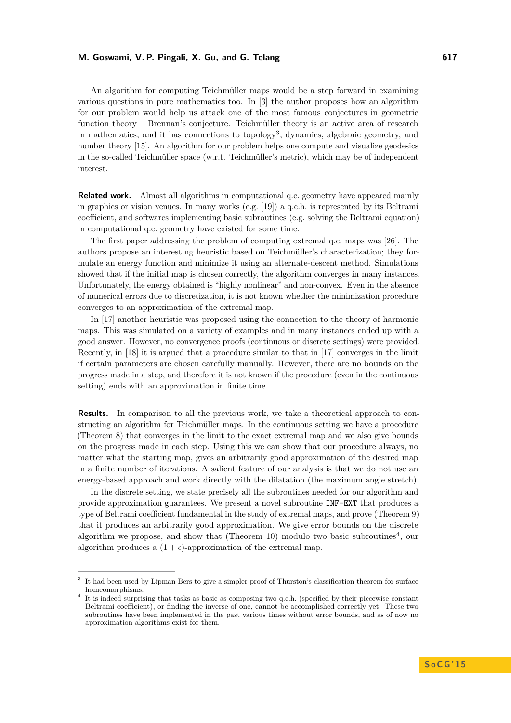An algorithm for computing Teichmüller maps would be a step forward in examining various questions in pure mathematics too. In [\[3\]](#page-13-4) the author proposes how an algorithm for our problem would help us attack one of the most famous conjectures in geometric function theory – Brennan's conjecture. Teichmüller theory is an active area of research in mathematics, and it has connections to topology<sup>[3](#page-2-0)</sup>, dynamics, algebraic geometry, and number theory [\[15\]](#page-14-10). An algorithm for our problem helps one compute and visualize geodesics in the so-called Teichmüller space (w.r.t. Teichmüller's metric), which may be of independent interest.

**Related work.** Almost all algorithms in computational q.c. geometry have appeared mainly in graphics or vision venues. In many works  $(e.g. [19])$  $(e.g. [19])$  $(e.g. [19])$  a q.c.h. is represented by its Beltrami coefficient, and softwares implementing basic subroutines (e.g. solving the Beltrami equation) in computational q.c. geometry have existed for some time.

The first paper addressing the problem of computing extremal q.c. maps was [\[26\]](#page-14-9). The authors propose an interesting heuristic based on Teichmüller's characterization; they formulate an energy function and minimize it using an alternate-descent method. Simulations showed that if the initial map is chosen correctly, the algorithm converges in many instances. Unfortunately, the energy obtained is "highly nonlinear" and non-convex. Even in the absence of numerical errors due to discretization, it is not known whether the minimization procedure converges to an approximation of the extremal map.

In [\[17\]](#page-14-12) another heuristic was proposed using the connection to the theory of harmonic maps. This was simulated on a variety of examples and in many instances ended up with a good answer. However, no convergence proofs (continuous or discrete settings) were provided. Recently, in [\[18\]](#page-14-13) it is argued that a procedure similar to that in [\[17\]](#page-14-12) converges in the limit if certain parameters are chosen carefully manually. However, there are no bounds on the progress made in a step, and therefore it is not known if the procedure (even in the continuous setting) ends with an approximation in finite time.

**Results.** In comparison to all the previous work, we take a theoretical approach to constructing an algorithm for Teichmüller maps. In the continuous setting we have a procedure (Theorem [8\)](#page-8-0) that converges in the limit to the exact extremal map and we also give bounds on the progress made in each step. Using this we can show that our procedure always, no matter what the starting map, gives an arbitrarily good approximation of the desired map in a finite number of iterations. A salient feature of our analysis is that we do not use an energy-based approach and work directly with the dilatation (the maximum angle stretch).

In the discrete setting, we state precisely all the subroutines needed for our algorithm and provide approximation guarantees. We present a novel subroutine INF-EXT that produces a type of Beltrami coefficient fundamental in the study of extremal maps, and prove (Theorem [9\)](#page-9-0) that it produces an arbitrarily good approximation. We give error bounds on the discrete algorithm we propose, and show that (Theorem [10\)](#page-9-1) modulo two basic subroutines<sup>[4](#page-2-1)</sup>, our algorithm produces a  $(1 + \epsilon)$ -approximation of the extremal map.

<span id="page-2-0"></span><sup>&</sup>lt;sup>3</sup> It had been used by Lipman Bers to give a simpler proof of Thurston's classification theorem for surface homeomorphisms.

<span id="page-2-1"></span><sup>4</sup> It is indeed surprising that tasks as basic as composing two q.c.h. (specified by their piecewise constant Beltrami coefficient), or finding the inverse of one, cannot be accomplished correctly yet. These two subroutines have been implemented in the past various times without error bounds, and as of now no approximation algorithms exist for them.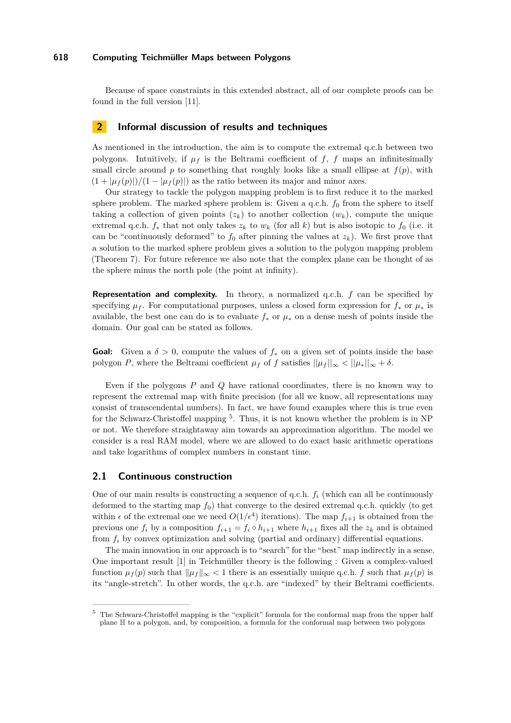Because of space constraints in this extended abstract, all of our complete proofs can be found in the full version [\[11\]](#page-14-14).

# **2 Informal discussion of results and techniques**

As mentioned in the introduction, the aim is to compute the extremal q.c.h between two polygons. Intuitively, if  $\mu_f$  is the Beltrami coefficient of  $f$ ,  $f$  maps an infinitesimally small circle around  $p$  to something that roughly looks like a small ellipse at  $f(p)$ , with  $(1 + |\mu_f(p)|)/(1 - |\mu_f(p)|)$  as the ratio between its major and minor axes.

Our strategy to tackle the polygon mapping problem is to first reduce it to the marked sphere problem. The marked sphere problem is: Given a q.c.h.  $f_0$  from the sphere to itself taking a collection of given points  $(z_k)$  to another collection  $(w_k)$ , compute the unique extremal q.c.h.  $f_*$  that not only takes  $z_k$  to  $w_k$  (for all k) but is also isotopic to  $f_0$  (i.e. it can be "continuously deformed" to  $f_0$  after pinning the values at  $z_k$ ). We first prove that a solution to the marked sphere problem gives a solution to the polygon mapping problem (Theorem [7\)](#page-8-1). For future reference we also note that the complex plane can be thought of as the sphere minus the north pole (the point at infinity).

**Representation and complexity.** In theory, a normalized q.c.h. *f* can be specified by specifying  $\mu_f$ . For computational purposes, unless a closed form expression for  $f_*$  or  $\mu_*$  is available, the best one can do is to evaluate  $f_*$  or  $\mu_*$  on a dense mesh of points inside the domain. Our goal can be stated as follows.

**Goal:** Given a  $\delta > 0$ , compute the values of  $f_*$  on a given set of points inside the base polygon *P*, where the Beltrami coefficient  $\mu_f$  of *f* satisfies  $||\mu_f||_{\infty} < ||\mu_*||_{\infty} + \delta$ .

Even if the polygons *P* and *Q* have rational coordinates, there is no known way to represent the extremal map with finite precision (for all we know, all representations may consist of transcendental numbers). In fact, we have found examples where this is true even for the Schwarz-Christoffel mapping <sup>[5](#page-3-0)</sup>. Thus, it is not known whether the problem is in NP or not. We therefore straightaway aim towards an approximation algorithm. The model we consider is a real RAM model, where we are allowed to do exact basic arithmetic operations and take logarithms of complex numbers in constant time.

#### **2.1 Continuous construction**

One of our main results is constructing a sequence of q.c.h.  $f_i$  (which can all be continuously deformed to the starting map  $f_0$ ) that converge to the desired extremal q.c.h. quickly (to get within  $\epsilon$  of the extremal one we need  $O(1/\epsilon^4)$  iterations). The map  $f_{i+1}$  is obtained from the previous one  $f_i$  by a composition  $f_{i+1} = f_i \circ h_{i+1}$  where  $h_{i+1}$  fixes all the  $z_k$  and is obtained from *f<sup>i</sup>* by convex optimization and solving (partial and ordinary) differential equations.

The main innovation in our approach is to "search" for the "best" map indirectly in a sense. One important result [\[1\]](#page-13-1) in Teichmüller theory is the following : Given a complex-valued function  $\mu_f(p)$  such that  $\|\mu_f\|_{\infty} < 1$  there is an essentially unique q.c.h. *f* such that  $\mu_f(p)$  is its "angle-stretch". In other words, the q.c.h. are "indexed" by their Beltrami coefficients.

<span id="page-3-0"></span><sup>&</sup>lt;sup>5</sup> The Schwarz-Christoffel mapping is the "explicit" formula for the conformal map from the upper half plane H to a polygon, and, by composition, a formula for the conformal map between two polygons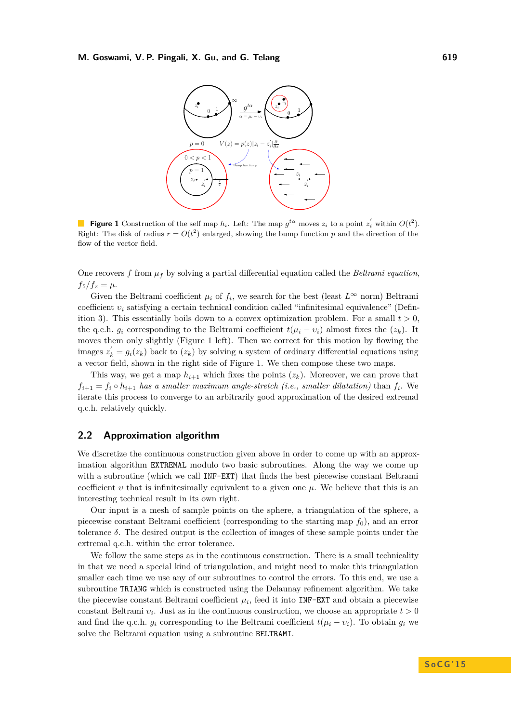<span id="page-4-0"></span>

**Figure 1** Construction of the self map  $h_i$ . Left: The map  $g^{t\alpha}$  moves  $z_i$  to a point  $z_i^{'}$  within  $O(t^2)$ . Right: The disk of radius  $r = O(t^2)$  enlarged, showing the bump function p and the direction of the flow of the vector field.

One recovers f from  $\mu_f$  by solving a partial differential equation called the *Beltrami equation*,  $f_{\bar{z}}/f_z = \mu$ .

Given the Beltrami coefficient  $\mu_i$  of  $f_i$ , we search for the best (least  $L^{\infty}$  norm) Beltrami coefficient *υ<sup>i</sup>* satisfying a certain technical condition called "infinitesimal equivalence" (Defin-ition [3\)](#page-6-0). This essentially boils down to a convex optimization problem. For a small  $t > 0$ , the q.c.h.  $g_i$  corresponding to the Beltrami coefficient  $t(\mu_i - \nu_i)$  almost fixes the  $(z_k)$ . It moves them only slightly (Figure [1](#page-4-0) left). Then we correct for this motion by flowing the images  $z'_{k} = g_{i}(z_{k})$  back to  $(z_{k})$  by solving a system of ordinary differential equations using a vector field, shown in the right side of Figure [1.](#page-4-0) We then compose these two maps.

This way, we get a map  $h_{i+1}$  which fixes the points  $(z_k)$ . Moreover, we can prove that  $f_{i+1} = f_i \circ h_{i+1}$  *has a smaller maximum angle-stretch (i.e., smaller dilatation)* than  $f_i$ . We iterate this process to converge to an arbitrarily good approximation of the desired extremal q.c.h. relatively quickly.

# **2.2 Approximation algorithm**

We discretize the continuous construction given above in order to come up with an approximation algorithm EXTREMAL modulo two basic subroutines. Along the way we come up with a subroutine (which we call INF-EXT) that finds the best piecewise constant Beltrami coefficient *v* that is infinitesimally equivalent to a given one  $\mu$ . We believe that this is an interesting technical result in its own right.

Our input is a mesh of sample points on the sphere, a triangulation of the sphere, a piecewise constant Beltrami coefficient (corresponding to the starting map  $f_0$ ), and an error tolerance *δ*. The desired output is the collection of images of these sample points under the extremal q.c.h. within the error tolerance.

We follow the same steps as in the continuous construction. There is a small technicality in that we need a special kind of triangulation, and might need to make this triangulation smaller each time we use any of our subroutines to control the errors. To this end, we use a subroutine TRIANG which is constructed using the Delaunay refinement algorithm. We take the piecewise constant Beltrami coefficient  $\mu_i$ , feed it into INF-EXT and obtain a piecewise constant Beltrami  $v_i$ . Just as in the continuous construction, we choose an appropriate  $t > 0$ and find the q.c.h.  $g_i$  corresponding to the Beltrami coefficient  $t(\mu_i - \nu_i)$ . To obtain  $g_i$  we solve the Beltrami equation using a subroutine BELTRAMI.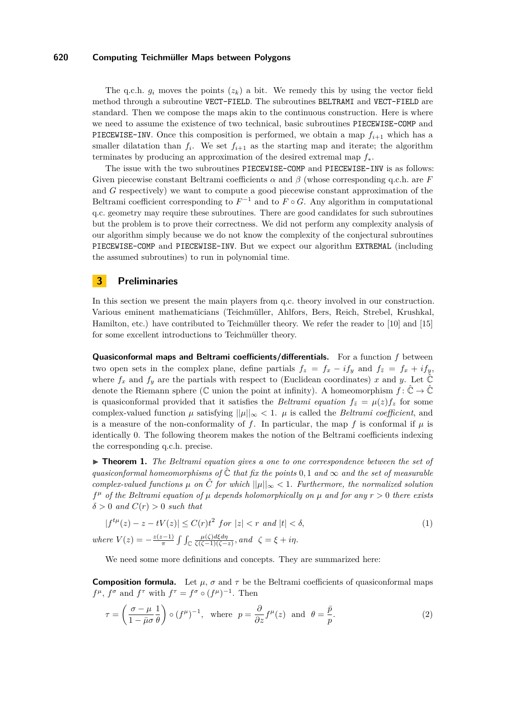The q.c.h.  $g_i$  moves the points  $(z_k)$  a bit. We remedy this by using the vector field method through a subroutine VECT-FIELD. The subroutines BELTRAMI and VECT-FIELD are standard. Then we compose the maps akin to the continuous construction. Here is where we need to assume the existence of two technical, basic subroutines PIECEWISE-COMP and PIECEWISE-INV. Once this composition is performed, we obtain a map  $f_{i+1}$  which has a smaller dilatation than  $f_i$ . We set  $f_{i+1}$  as the starting map and iterate; the algorithm terminates by producing an approximation of the desired extremal map *f*∗.

The issue with the two subroutines PIECEWISE-COMP and PIECEWISE-INV is as follows: Given piecewise constant Beltrami coefficients *α* and *β* (whose corresponding q.c.h. are *F* and *G* respectively) we want to compute a good piecewise constant approximation of the Beltrami coefficient corresponding to  $F^{-1}$  and to  $F \circ G$ . Any algorithm in computational q.c. geometry may require these subroutines. There are good candidates for such subroutines but the problem is to prove their correctness. We did not perform any complexity analysis of our algorithm simply because we do not know the complexity of the conjectural subroutines PIECEWISE-COMP and PIECEWISE-INV. But we expect our algorithm EXTREMAL (including the assumed subroutines) to run in polynomial time.

# **3 Preliminaries**

In this section we present the main players from q.c. theory involved in our construction. Various eminent mathematicians (Teichmüller, Ahlfors, Bers, Reich, Strebel, Krushkal, Hamilton, etc.) have contributed to Teichmüller theory. We refer the reader to [\[10\]](#page-14-15) and [\[15\]](#page-14-10) for some excellent introductions to Teichmüller theory.

**Quasiconformal maps and Beltrami coefficients/differentials.** For a function *f* between two open sets in the complex plane, define partials  $f_z = f_x - i f_y$  and  $f_{\bar{z}} = f_x + i f_y$ , where  $f_x$  and  $f_y$  are the partials with respect to (Euclidean coordinates) *x* and *y*. Let  $\hat{\mathbb{C}}$ denote the Riemann sphere (C union the point at infinity). A homeomorphism  $f: \hat{\mathbb{C}} \to \hat{\mathbb{C}}$ is quasiconformal provided that it satisfies the *Beltrami equation*  $f_{\overline{z}} = \mu(z) f_z$  for some complex-valued function  $\mu$  satisfying  $||\mu||_{\infty} < 1$ .  $\mu$  is called the *Beltrami coefficient*, and is a measure of the non-conformality of  $f$ . In particular, the map  $f$  is conformal if  $\mu$  is identically 0. The following theorem makes the notion of the Beltrami coefficients indexing the corresponding q.c.h. precise.

<span id="page-5-0"></span>► **Theorem 1.** *The Beltrami equation gives a one to one correspondence between the set of quasiconformal homeomorphisms of*  $\hat{\mathbb{C}}$  *that fix the points* 0*,* 1 *and*  $\infty$  *and the set of measurable complex-valued functions*  $\mu$  *on*  $\hat{C}$  *for which*  $||\mu||_{\infty} < 1$ *. Furthermore, the normalized solution*  $f^{\mu}$  *of the Beltrami equation of*  $\mu$  *depends holomorphically on*  $\mu$  *and for any*  $r > 0$  *there exists*  $\delta > 0$  *and*  $C(r) > 0$  *such that* 

$$
|f^{t\mu}(z) - z - tV(z)| \le C(r)t^2 \text{ for } |z| < r \text{ and } |t| < \delta,
$$
\n(1)

*where*  $V(z) = -\frac{z(z-1)}{\pi}$  $\int_{\pi}^{z-1} \int \int_{\mathbb{C}} \frac{\mu(\zeta) d\xi d\eta}{\zeta(\zeta-1)(\zeta-1)}$  $\frac{\mu(\zeta)a\xi a\eta}{\zeta(\zeta-1)(\zeta-z)}$ , and  $\zeta = \xi + i\eta$ .

We need some more definitions and concepts. They are summarized here:

**Composition formula.** Let  $\mu$ ,  $\sigma$  and  $\tau$  be the Beltrami coefficients of quasiconformal maps *f*<sup>*μ*</sup>, *f*<sup> $\sigma$ </sup> and *f*<sup> $\tau$ </sup> with *f*<sup> $\tau$ </sup> = *f*<sup> $\sigma$ </sup> ∘ (*f*<sup>*μ*</sup>)<sup>-1</sup>. Then

<span id="page-5-1"></span>
$$
\tau = \left(\frac{\sigma - \mu}{1 - \bar{\mu}\sigma} \frac{1}{\theta}\right) \circ (f^{\mu})^{-1}, \text{ where } p = \frac{\partial}{\partial z} f^{\mu}(z) \text{ and } \theta = \frac{\bar{p}}{p}.
$$
 (2)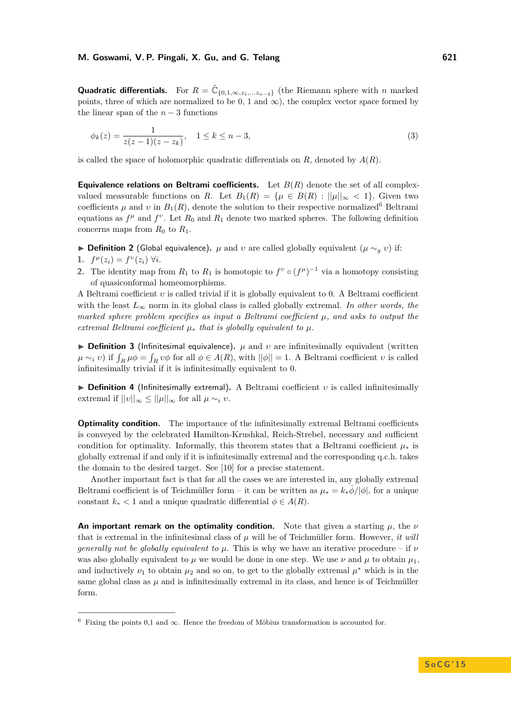**Quadratic differentials.** For  $R = \hat{C}_{\{0,1,\infty,z_1,...,z_{n-3}\}}$  (the Riemann sphere with *n* marked points, three of which are normalized to be 0, 1 and  $\infty$ ), the complex vector space formed by the linear span of the  $n-3$  functions

<span id="page-6-3"></span>
$$
\phi_k(z) = \frac{1}{z(z-1)(z-z_k)}, \quad 1 \le k \le n-3,
$$
\n(3)

is called the space of holomorphic quadratic differentials on  $R$ , denoted by  $A(R)$ .

**Equivalence relations on Beltrami coefficients.** Let *B*(*R*) denote the set of all complexvalued measurable functions on *R*. Let  $B_1(R) = \{ \mu \in B(R) : ||\mu||_{\infty} < 1 \}.$  Given two coefficients  $\mu$  and  $\nu$  in  $B_1(R)$ , denote the solution to their respective normalized<sup>[6](#page-6-1)</sup> Beltrami equations as  $f^{\mu}$  and  $f^{\nu}$ . Let  $R_0$  and  $R_1$  denote two marked spheres. The following definition concerns maps from  $R_0$  to  $R_1$ .

<span id="page-6-2"></span>**► Definition 2** (Global equivalence). *µ* and *v* are called globally equivalent  $(µ \sim_q v)$  if:

**1.**  $f^{\mu}(z_i) = f^{\nu}(z_i) \,\forall i.$ 

**2.** The identity map from  $R_1$  to  $R_1$  is homotopic to  $f^v \circ (f^{\mu})^{-1}$  via a homotopy consisting of quasiconformal homeomorphisms.

A Beltrami coefficient *υ* is called trivial if it is globally equivalent to 0. A Beltrami coefficient with the least  $L_{\infty}$  norm in its global class is called globally extremal. *In other words, the marked sphere problem specifies as input a Beltrami coefficient*  $\mu$ *, and asks to output the extremal Beltrami coefficient*  $\mu_*$  *that is globally equivalent to*  $\mu$ *.* 

<span id="page-6-0"></span>**Definition 3** (Infinitesimal equivalence).  $\mu$  and  $\nu$  are infinitesimally equivalent (written  $\mu \sim_i \nu$ ) if  $\int_R \mu \phi = \int_R \nu \phi$  for all  $\phi \in A(R)$ , with  $||\phi|| = 1$ . A Beltrami coefficient *v* is called infinitesimally trivial if it is infinitesimally equivalent to 0.

**► Definition 4** (Infinitesimally extremal). A Beltrami coefficient *v* is called infinitesimally extremal if  $||v||_{\infty} \le ||\mu||_{\infty}$  for all  $\mu \sim_i v$ .

**Optimality condition.** The importance of the infinitesimally extremal Beltrami coefficients is conveyed by the celebrated Hamilton-Krushkal, Reich-Strebel, necessary and sufficient condition for optimality. Informally, this theorem states that a Beltrami coefficient  $\mu_*$  is globally extremal if and only if it is infinitesimally extremal and the corresponding q.c.h. takes the domain to the desired target. See [\[10\]](#page-14-15) for a precise statement.

Another important fact is that for all the cases we are interested in, any globally extremal Beltrami coefficient is of Teichmüller form – it can be written as  $\mu_* = k_* \phi / |\phi|$ , for a unique constant  $k_* < 1$  and a unique quadratic differential  $\phi \in A(R)$ .

**An important remark on the optimality condition.** Note that given a starting  $\mu$ , the  $\nu$ that is extremal in the infinitesimal class of  $\mu$  will be of Teichmüller form. However, *it will generally not be globally equivalent to*  $\mu$ . This is why we have an iterative procedure – if  $\nu$ was also globally equivalent to  $\mu$  we would be done in one step. We use  $\nu$  and  $\mu$  to obtain  $\mu_1$ . and inductively  $\nu_1$  to obtain  $\mu_2$  and so on, to get to the globally extremal  $\mu^*$  which is in the same global class as  $\mu$  and is infinitesimally extremal in its class, and hence is of Teichmüller form.

<span id="page-6-1"></span><sup>&</sup>lt;sup>6</sup> Fixing the points 0,1 and  $\infty$ . Hence the freedom of Möbius transformation is accounted for.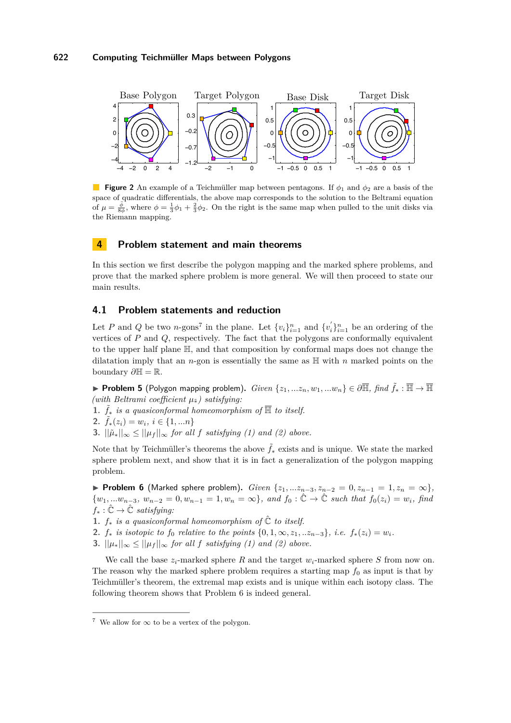

**Figure 2** An example of a Teichmüller map between pentagons. If  $\phi_1$  and  $\phi_2$  are a basis of the space of quadratic differentials, the above map corresponds to the solution to the Beltrami equation of  $\mu = \frac{\bar{\phi}}{8\phi}$ , where  $\phi = \frac{1}{3}\phi_1 + \frac{2}{3}\phi_2$ . On the right is the same map when pulled to the unit disks via the Riemann mapping.

# **4 Problem statement and main theorems**

In this section we first describe the polygon mapping and the marked sphere problems, and prove that the marked sphere problem is more general. We will then proceed to state our main results.

# **4.1 Problem statements and reduction**

Let *P* and *Q* be two *n*-gons<sup>[7](#page-7-0)</sup> in the plane. Let  $\{v_i\}_{i=1}^n$  and  $\{v'_i\}_{i=1}^n$  be an ordering of the vertices of *P* and *Q*, respectively. The fact that the polygons are conformally equivalent to the upper half plane H, and that composition by conformal maps does not change the dilatation imply that an  $n$ -gon is essentially the same as  $\mathbb H$  with  $n$  marked points on the boundary  $\partial \mathbb{H} = \mathbb{R}$ .

<span id="page-7-2"></span>▶ **Problem 5** (Polygon mapping problem).  $Given \{z_1, ...z_n, w_1, ...w_n\} \in \partial \overline{\mathbb{H}}$ , find  $\tilde{f}_* : \overline{\mathbb{H}} \to \overline{\mathbb{H}}$  $(with \; Beltrami \; coefficient \;  $\mu_*$ ) \; satisfying:$ 

- **1.**  $\tilde{f}_*$  *is a quasiconformal homeomorphism of*  $\overline{\mathbb{H}}$  *to itself.*
- **2.**  $\tilde{f}_*(z_i) = w_i, i \in \{1, ...n\}$
- **3.**  $||\tilde{\mu}_*||_{\infty} \leq ||\mu_f||_{\infty}$  *for all f satisfying (1) and (2) above.*

Note that by Teichmüller's theorems the above  $\tilde{f}_*$  exists and is unique. We state the marked sphere problem next, and show that it is in fact a generalization of the polygon mapping problem.

<span id="page-7-1"></span>▶ **Problem 6** (Marked sphere problem). *Given*  $\{z_1, ... z_{n-3}, z_{n-2} = 0, z_{n-1} = 1, z_n = \infty\},$  $\{w_1, ... w_{n-3}, w_{n-2} = 0, w_{n-1} = 1, w_n = \infty\}$ , and  $f_0 : \hat{\mathbb{C}} \to \hat{\mathbb{C}}$  such that  $f_0(z_i) = w_i$ , find  $f_* : \hat{\mathbb{C}} \to \hat{\mathbb{C}}$  *satisfying:* 

- **1.**  $f_*$  *is a quasiconformal homeomorphism of*  $\hat{\mathbb{C}}$  *to itself.*
- **2.**  $f_*$  *is isotopic to*  $f_0$  *relative to the points*  $\{0, 1, \infty, z_1, ... z_{n-3}\},$  *i.e.*  $f_*(z_i) = w_i$ *.*
- **3.**  $||\mu_*||_{\infty} \le ||\mu_f||_{\infty}$  *for all f satisfying (1) and (2) above.*

We call the base  $z_i$ -marked sphere R and the target  $w_i$ -marked sphere S from now on. The reason why the marked sphere problem requires a starting map  $f_0$  as input is that by Teichmüller's theorem, the extremal map exists and is unique within each isotopy class. The following theorem shows that Problem [6](#page-7-1) is indeed general.

<span id="page-7-0"></span><sup>&</sup>lt;sup>7</sup> We allow for  $\infty$  to be a vertex of the polygon.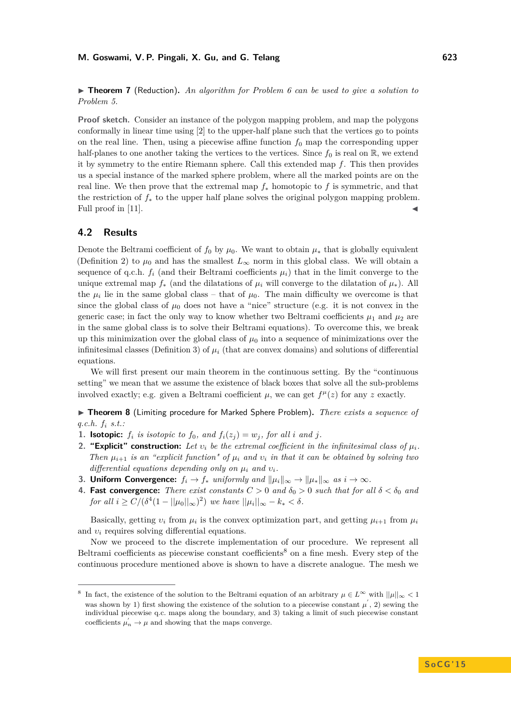<span id="page-8-1"></span>▶ **Theorem 7** (Reduction). An algorithm for Problem [6](#page-7-1) can be used to give a solution to *Problem [5.](#page-7-2)*

**Proof sketch.** Consider an instance of the polygon mapping problem, and map the polygons conformally in linear time using [\[2\]](#page-13-3) to the upper-half plane such that the vertices go to points on the real line. Then, using a piecewise affine function  $f_0$  map the corresponding upper half-planes to one another taking the vertices to the vertices. Since  $f_0$  is real on  $\mathbb{R}$ , we extend it by symmetry to the entire Riemann sphere. Call this extended map *f*. This then provides us a special instance of the marked sphere problem, where all the marked points are on the real line. We then prove that the extremal map  $f_*$  homotopic to  $f$  is symmetric, and that the restriction of *f*<sup>∗</sup> to the upper half plane solves the original polygon mapping problem. Full proof in [\[11\]](#page-14-14).

# **4.2 Results**

Denote the Beltrami coefficient of  $f_0$  by  $\mu_0$ . We want to obtain  $\mu_*$  that is globally equivalent (Definition [2\)](#page-6-2) to  $\mu_0$  and has the smallest  $L_{\infty}$  norm in this global class. We will obtain a sequence of q.c.h.  $f_i$  (and their Beltrami coefficients  $\mu_i$ ) that in the limit converge to the unique extremal map  $f_*$  (and the dilatations of  $\mu_i$  will converge to the dilatation of  $\mu_*$ ). All the  $\mu_i$  lie in the same global class – that of  $\mu_0$ . The main difficulty we overcome is that since the global class of  $\mu_0$  does not have a "nice" structure (e.g. it is not convex in the generic case; in fact the only way to know whether two Beltrami coefficients  $\mu_1$  and  $\mu_2$  are in the same global class is to solve their Beltrami equations). To overcome this, we break up this minimization over the global class of  $\mu_0$  into a sequence of minimizations over the infinitesimal classes (Definition [3\)](#page-6-0) of  $\mu_i$  (that are convex domains) and solutions of differential equations.

We will first present our main theorem in the continuous setting. By the "continuous setting" we mean that we assume the existence of black boxes that solve all the sub-problems involved exactly; e.g. given a Beltrami coefficient  $\mu$ , we can get  $f^{\mu}(z)$  for any *z* exactly.

<span id="page-8-0"></span>I **Theorem 8** (Limiting procedure for Marked Sphere Problem)**.** *There exists a sequence of q.c.h. f<sup>i</sup> s.t.:*

- **1. Isotopic:**  $f_i$  *is isotopic to*  $f_0$ *, and*  $f_i(z_j) = w_j$ *, for all i and j.*
- **2. "Explicit" construction:** Let  $v_i$  be the extremal coefficient in the infinitesimal class of  $\mu_i$ . *Then*  $\mu_{i+1}$  *is an "explicit function" of*  $\mu_i$  *and*  $\nu_i$  *in that it can be obtained by solving two differential equations depending only on*  $\mu_i$  *and*  $\nu_i$ *.*
- **3. Uniform Convergence:**  $f_i \to f_*$  *uniformly and*  $\|\mu_i\|_{\infty} \to \|\mu_*\|_{\infty}$  *as*  $i \to \infty$ *.*
- **4. Fast convergence:** *There exist constants*  $C > 0$  *and*  $\delta_0 > 0$  *such that for all*  $\delta < \delta_0$  *and for all*  $i \ge C/(\delta^4(1 - ||\mu_0||_{\infty})^2)$  *we have*  $||\mu_i||_{\infty} - k_* < \delta$ *.*

Basically, getting  $v_i$  from  $\mu_i$  is the convex optimization part, and getting  $\mu_{i+1}$  from  $\mu_i$ and *υ<sup>i</sup>* requires solving differential equations.

Now we proceed to the discrete implementation of our procedure. We represent all Beltrami coefficients as piecewise constant coefficients<sup>[8](#page-8-2)</sup> on a fine mesh. Every step of the continuous procedure mentioned above is shown to have a discrete analogue. The mesh we

<span id="page-8-2"></span><sup>8</sup> In fact, the existence of the solution to the Beltrami equation of an arbitrary  $\mu \in L^{\infty}$  with  $||\mu||_{\infty} < 1$ was shown by 1) first showing the existence of the solution to a piecewise constant  $\mu$ <sup>'</sup>, 2) sewing the individual piecewise q.c. maps along the boundary, and 3) taking a limit of such piecewise constant coefficients  $\mu_n \to \mu$  and showing that the maps converge.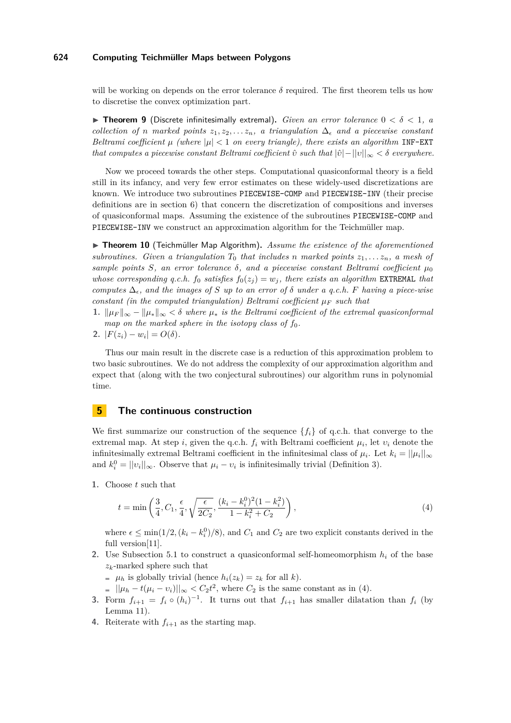will be working on depends on the error tolerance  $\delta$  required. The first theorem tells us how to discretise the convex optimization part.

<span id="page-9-0"></span>**Fineorem 9** (Discrete infinitesimally extremal). *Given an error tolerance*  $0 < \delta < 1$ , a *collection of n marked points*  $z_1, z_2, \ldots z_n$ *, a triangulation*  $\Delta_{\epsilon}$  *and a piecewise constant Beltrami coefficient*  $\mu$  *(where*  $|\mu| < 1$  *on every triangle), there exists an algorithm* INF-EXT *that computes a piecewise constant Beltrami coefficient*  $\hat{v}$  *such that*  $|\hat{v}|-||v||_{\infty} < \delta$  *everywhere.* 

Now we proceed towards the other steps. Computational quasiconformal theory is a field still in its infancy, and very few error estimates on these widely-used discretizations are known. We introduce two subroutines PIECEWISE-COMP and PIECEWISE-INV (their precise definitions are in section [6\)](#page-11-0) that concern the discretization of compositions and inverses of quasiconformal maps. Assuming the existence of the subroutines PIECEWISE-COMP and PIECEWISE-INV we construct an approximation algorithm for the Teichmüller map.

<span id="page-9-1"></span>I **Theorem 10** (Teichmüller Map Algorithm)**.** *Assume the existence of the aforementioned subroutines. Given a triangulation*  $T_0$  *that includes n marked points*  $z_1, \ldots, z_n$ *, a mesh of sample points S, an error tolerance*  $\delta$ *, and a piecewise constant Beltrami coefficient*  $\mu_0$ *whose corresponding g.c.h.*  $f_0$  *satisfies*  $f_0(z_i) = w_i$ , there exists an algorithm EXTREMAL that *computes*  $\Delta_{\epsilon}$ , and the images of *S up to an error of δ under a q.c.h. F having a piece-wise constant (in the computed triangulation) Beltrami coefficient*  $\mu_F$  *such that* 

- **1.**  $\|\mu_F\|_{\infty} \|\mu_*\|_{\infty} < \delta$  where  $\mu_*$  is the Beltrami coefficient of the extremal quasiconformal *map on the marked sphere in the isotopy class of*  $f_0$ .
- **2.**  $|F(z_i) w_i| = O(\delta)$ .

Thus our main result in the discrete case is a reduction of this approximation problem to two basic subroutines. We do not address the complexity of our approximation algorithm and expect that (along with the two conjectural subroutines) our algorithm runs in polynomial time.

# <span id="page-9-3"></span>**5 The continuous construction**

We first summarize our construction of the sequence  $\{f_i\}$  of q.c.h. that converge to the extremal map. At step *i*, given the q.c.h.  $f_i$  with Beltrami coefficient  $\mu_i$ , let  $v_i$  denote the infinitesimally extremal Beltrami coefficient in the infinitesimal class of  $\mu_i$ . Let  $k_i = ||\mu_i||_{\infty}$ and  $k_i^0 = ||v_i||_{\infty}$ . Observe that  $\mu_i - v_i$  is infinitesimally trivial (Definition [3\)](#page-6-0).

**1.** Choose *t* such that

<span id="page-9-2"></span>
$$
t = \min\left(\frac{3}{4}, C_1, \frac{\epsilon}{4}, \sqrt{\frac{\epsilon}{2C_2}}, \frac{(k_i - k_i^0)^2 (1 - k_i^2)}{1 - k_i^2 + C_2}\right),\tag{4}
$$

where  $\epsilon \le \min(1/2, (k_i - k_i^0)/8)$ , and  $C_1$  and  $C_2$  are two explicit constants derived in the full version[\[11\]](#page-14-14).

- **2.** Use Subsection [5.1](#page-10-0) to construct a quasiconformal self-homeomorphism  $h_i$  of the base *zk*-marked sphere such that
	- $\mu_h$  is globally trivial (hence  $h_i(z_k) = z_k$  for all *k*).
	- $||\mu_h t(\mu_i \nu_i)||_{\infty} < C_2 t^2$ , where  $C_2$  is the same constant as in [\(4\)](#page-9-2).
- **3.** Form  $f_{i+1} = f_i \circ (h_i)^{-1}$ . It turns out that  $f_{i+1}$  has smaller dilatation than  $f_i$  (by Lemma [11\)](#page-10-1).
- **4.** Reiterate with  $f_{i+1}$  as the starting map.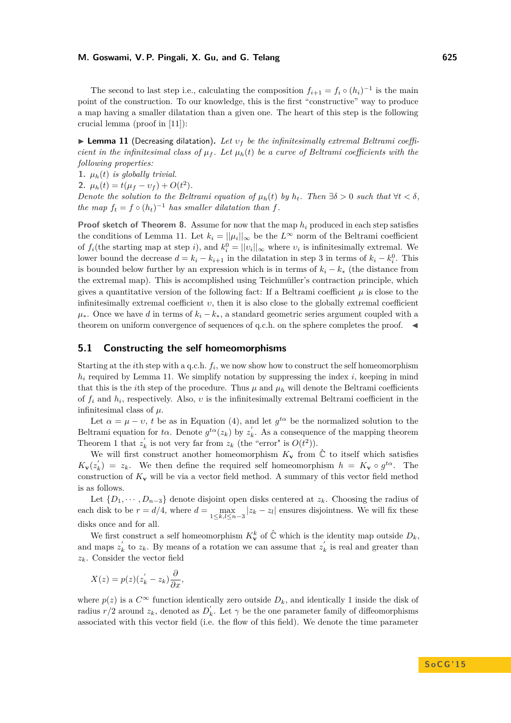The second to last step i.e., calculating the composition  $f_{i+1} = f_i \circ (h_i)^{-1}$  is the main point of the construction. To our knowledge, this is the first "constructive" way to produce a map having a smaller dilatation than a given one. The heart of this step is the following crucial lemma (proof in [\[11\]](#page-14-14)):

<span id="page-10-1"></span>I **Lemma 11** (Decreasing dilatation)**.** *Let υ<sup>f</sup> be the infinitesimally extremal Beltrami coefficient in the infinitesimal class of*  $\mu_f$ . Let  $\mu_h(t)$  be a curve of Beltrami coefficients with the *following properties:*

**1.**  $\mu_h(t)$  *is globally trivial.* 

**2.**  $\mu_h(t) = t(\mu_f - \nu_f) + O(t^2).$ 

*Denote the solution to the Beltrami equation of*  $\mu_h(t)$  *by*  $h_t$ *. Then*  $\exists \delta > 0$  *such that*  $\forall t < \delta$ *, the map*  $f_t = f \circ (h_t)^{-1}$  *has smaller dilatation than*  $f$ *.* 

**Proof sketch of Theorem [8.](#page-8-0)** Assume for now that the map  $h_i$  produced in each step satisfies the conditions of Lemma [11.](#page-10-1) Let  $k_i = ||\mu_i||_{\infty}$  be the  $L^{\infty}$  norm of the Beltrami coefficient of  $f_i$ (the starting map at step *i*), and  $k_i^0 = ||v_i||_{\infty}$  where  $v_i$  is infinitesimally extremal. We lower bound the decrease  $d = k_i - k_{i+1}$  in the dilatation in step 3 in terms of  $k_i - k_i^0$ . This is bounded below further by an expression which is in terms of  $k_i - k_*$  (the distance from the extremal map). This is accomplished using Teichmüller's contraction principle, which gives a quantitative version of the following fact: If a Beltrami coefficient  $\mu$  is close to the infinitesimally extremal coefficient *υ*, then it is also close to the globally extremal coefficient  $\mu_*$ . Once we have *d* in terms of  $k_i - k_*$ , a standard geometric series argument coupled with a theorem on uniform convergence of sequences of q.c.h. on the sphere completes the proof.

#### <span id="page-10-0"></span>**5.1 Constructing the self homeomorphisms**

Starting at the *i*th step with a q.c.h. *f<sup>i</sup>* , we now show how to construct the self homeomorphism  $h_i$  required by Lemma [11.](#page-10-1) We simplify notation by suppressing the index  $i$ , keeping in mind that this is the *i*th step of the procedure. Thus  $\mu$  and  $\mu_h$  will denote the Beltrami coefficients of *f<sup>i</sup>* and *h<sup>i</sup>* , respectively. Also, *υ* is the infinitesimally extremal Beltrami coefficient in the infinitesimal class of *µ*.

Let  $\alpha = \mu - \nu$ , *t* be as in Equation [\(4\)](#page-9-2), and let  $g^{t\alpha}$  be the normalized solution to the Beltrami equation for  $t\alpha$ . Denote  $g^{t\alpha}(z_k)$  by  $z'_k$ . As a consequence of the mapping theorem Theorem [1](#page-5-0) that  $z'_k$  is not very far from  $z_k$  (the "error" is  $O(t^2)$ ).

We will first construct another homeomorphism  $K_{\mathbf{v}}$  from  $\hat{\mathbb{C}}$  to itself which satisfies  $K_{\mathbf{v}}(z_k^{\prime}) = z_k$ . We then define the required self homeomorphism  $h = K_{\mathbf{v}} \circ g^{t\alpha}$ . The construction of  $K_{\mathbf{v}}$  will be via a vector field method. A summary of this vector field method is as follows.

Let  $\{D_1, \dots, D_{n-3}\}\$  denote disjoint open disks centered at  $z_k$ . Choosing the radius of each disk to be  $r = d/4$ , where  $d = \max_{1 \leq k, l \leq n-3} |z_k - z_l|$  ensures disjointness. We will fix these disks once and for all.

We first construct a self homeomorphism  $K_v^k$  of  $\hat{\mathbb{C}}$  which is the identity map outside  $D_k$ , and maps  $z'_k$  to  $z_k$ . By means of a rotation we can assume that  $z'_k$  is real and greater than *zk*. Consider the vector field

$$
X(z) = p(z)(z'_{k} - z_{k})\frac{\partial}{\partial x},
$$

where  $p(z)$  is a  $C^{\infty}$  function identically zero outside  $D_k$ , and identically 1 inside the disk of radius  $r/2$  around  $z_k$ , denoted as  $D'_k$ . Let  $\gamma$  be the one parameter family of diffeomorphisms associated with this vector field (i.e. the flow of this field). We denote the time parameter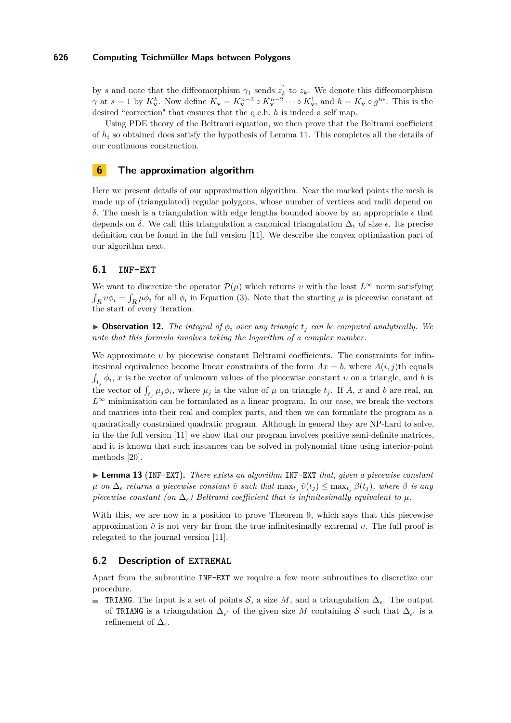by *s* and note that the diffeomorphism  $\gamma_1$  sends  $z'_k$  to  $z_k$ . We denote this diffeomorphism  $\gamma$  at  $s = 1$  by  $K_{\mathbf{v}}^k$ . Now define  $K_{\mathbf{v}} = K_{\mathbf{v}}^{n-3} \circ K_{\mathbf{v}}^{n-2} \cdots \circ K_{\mathbf{v}}^1$ , and  $h = K_{\mathbf{v}} \circ g^{t\alpha}$ . This is the desired "correction" that ensures that the q.c.h. *h* is indeed a self map.

Using PDE theory of the Beltrami equation, we then prove that the Beltrami coefficient of  $h_i$  so obtained does satisfy the hypothesis of Lemma [11.](#page-10-1) This completes all the details of our continuous construction.

# <span id="page-11-0"></span>**6 The approximation algorithm**

Here we present details of our approximation algorithm. Near the marked points the mesh is made up of (triangulated) regular polygons, whose number of vertices and radii depend on *δ*. The mesh is a triangulation with edge lengths bounded above by an appropriate  $\epsilon$  that depends on  $\delta$ . We call this triangulation a canonical triangulation  $\Delta_{\epsilon}$  of size  $\epsilon$ . Its precise definition can be found in the full version [\[11\]](#page-14-14). We describe the convex optimization part of our algorithm next.

# **6.1 INF-EXT**

We want to discretize the operator  $\mathcal{P}(\mu)$  which returns *v* with the least  $L^{\infty}$  norm satisfying  $\int_R v \phi_i = \int_R \mu \phi_i$  for all  $\phi_i$  in Equation [\(3\)](#page-6-3). Note that the starting  $\mu$  is piecewise constant at the start of every iteration.

 $\triangleright$  **Observation 12.** *The integral of*  $\phi_i$  *over any triangle*  $t_i$  *can be computed analytically. We note that this formula involves taking the logarithm of a complex number.*

We approximate *υ* by piecewise constant Beltrami coefficients. The constraints for infinitesimal equivalence become linear constraints of the form  $Ax = b$ , where  $A(i, j)$ th equals  $\int_{t_j} \phi_i$ , *x* is the vector of unknown values of the piecewise constant *v* on a triangle, and *b* is the vector of  $\int_{t_j} \mu_j \phi_i$ , where  $\mu_j$  is the value of  $\mu$  on triangle  $t_j$ . If *A*, *x* and *b* are real, an  $L^{\infty}$  minimization can be formulated as a linear program. In our case, we break the vectors and matrices into their real and complex parts, and then we can formulate the program as a quadratically constrained quadratic program. Although in general they are NP-hard to solve, in the the full version [\[11\]](#page-14-14) we show that our program involves positive semi-definite matrices, and it is known that such instances can be solved in polynomial time using interior-point methods [\[20\]](#page-14-16).

I **Lemma 13** (INF-EXT)**.** *There exists an algorithm* INF-EXT *that, given a piecewise constant*  $\mu$  *on*  $\Delta_{\epsilon}$  *returns a piecewise constant*  $\hat{v}$  *such that*  $\max_{t_i} \hat{v}(t_j) \leq \max_{t_i} \beta(t_j)$ *, where*  $\beta$  *is any piecewise constant (on*  $\Delta_{\epsilon}$ ) Beltrami coefficient that is infinitesimally equivalent to  $\mu$ .

With this, we are now in a position to prove Theorem [9,](#page-9-0) which says that this piecewise approximation  $\hat{v}$  is not very far from the true infinitesimally extremal  $v$ . The full proof is relegated to the journal version [\[11\]](#page-14-14).

# **6.2 Description of EXTREMAL**

Apart from the subroutine INF-EXT we require a few more subroutines to discretize our procedure.

**■** TRIANG. The input is a set of points S, a size M, and a triangulation  $\Delta_{\epsilon}$ . The output of TRIANG is a triangulation  $\Delta_{\epsilon'}$  of the given size M containing S such that  $\Delta_{\epsilon'}$  is a refinement of  $\Delta_{\epsilon}$ .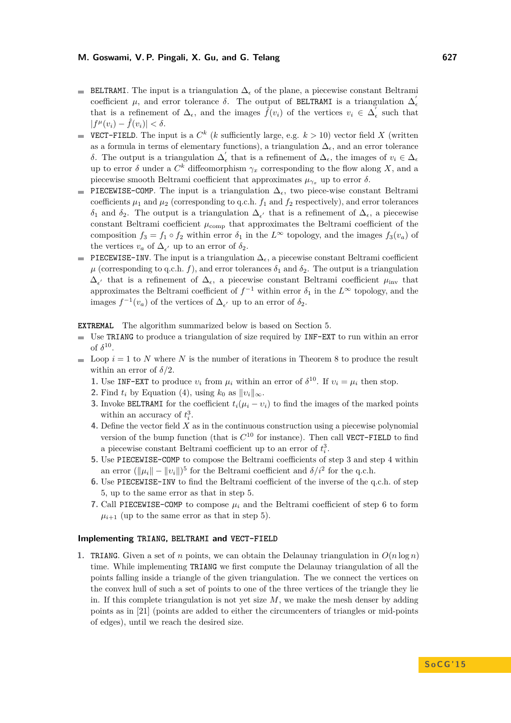- **BELTRAMI.** The input is a triangulation  $\Delta_{\epsilon}$  of the plane, a piecewise constant Beltrami coefficient  $\mu$ , and error tolerance *δ*. The output of BELTRAMI is a triangulation  $\Delta'$ <sub>ε</sub> that is a refinement of  $\Delta_{\epsilon}$ , and the images  $\hat{f}(v_i)$  of the vertices  $v_i \in \Delta_{\epsilon}'$  such that  $|f^{\mu}(v_i) - \hat{f}(v_i)| < \delta.$
- **VECT-FIELD**. The input is a  $C^k$  (*k* sufficiently large, e.g.  $k > 10$ ) vector field *X* (written  $\overline{\phantom{a}}$ as a formula in terms of elementary functions), a triangulation  $\Delta_{\epsilon}$ , and an error tolerance *δ*. The output is a triangulation  $\Delta'_{\epsilon}$  that is a refinement of  $\Delta_{\epsilon}$ , the images of  $v_i \in \Delta_{\epsilon}$ up to error  $\delta$  under a  $C^k$  diffeomorphism  $\gamma_x$  corresponding to the flow along X, and a piecewise smooth Beltrami coefficient that approximates  $\mu_{\gamma_x}$  up to error  $\delta$ .
- PIECEWISE-COMP. The input is a triangulation  $\Delta_{\epsilon}$ , two piece-wise constant Beltrami coefficients  $\mu_1$  and  $\mu_2$  (corresponding to q.c.h.  $f_1$  and  $f_2$  respectively), and error tolerances *δ*<sub>1</sub> and *δ*<sub>2</sub>. The output is a triangulation  $\Delta_{\epsilon'}$  that is a refinement of  $\Delta_{\epsilon}$ , a piecewise constant Beltrami coefficient  $\mu_{\text{comp}}$  that approximates the Beltrami coefficient of the composition  $f_3 = f_1 \circ f_2$  within error  $\delta_1$  in the  $L^\infty$  topology, and the images  $f_3(v_a)$  of the vertices  $v_a$  of  $\Delta_{\epsilon'}$  up to an error of  $\delta_2$ .
- PIECEWISE-INV. The input is a triangulation  $\Delta_{\epsilon}$ , a piecewise constant Beltrami coefficient  $\mu$  (corresponding to q.c.h. *f*), and error tolerances  $\delta_1$  and  $\delta_2$ . The output is a triangulation  $\Delta_{\epsilon'}$  that is a refinement of  $\Delta_{\epsilon}$ , a piecewise constant Beltrami coefficient  $\mu_{\text{inv}}$  that approximates the Beltrami coefficient of  $f^{-1}$  within error  $\delta_1$  in the  $L^{\infty}$  topology, and the images  $f^{-1}(v_a)$  of the vertices of  $\Delta_{\epsilon'}$  up to an error of  $\delta_2$ .

**EXTREMAL** The algorithm summarized below is based on Section [5.](#page-9-3)

- Use TRIANG to produce a triangulation of size required by INF-EXT to run within an error of  $\delta^{10}$ .
- $\blacksquare$  Loop  $i = 1$  to N where N is the number of iterations in Theorem [8](#page-8-0) to produce the result within an error of *δ/*2.
	- **1.** Use INF-EXT to produce  $v_i$  from  $\mu_i$  within an error of  $\delta^{10}$ . If  $v_i = \mu_i$  then stop.
	- **2.** Find  $t_i$  by Equation [\(4\)](#page-9-2), using  $k_0$  as  $||v_i||_{\infty}$ .
	- **3.** Invoke BELTRAMI for the coefficient  $t_i(\mu_i \nu_i)$  to find the images of the marked points within an accuracy of  $t_i^3$ .
	- **4.** Define the vector field *X* as in the continuous construction using a piecewise polynomial version of the bump function (that is  $C^{10}$  for instance). Then call VECT-FIELD to find a piecewise constant Beltrami coefficient up to an error of  $t_i^3$ .
	- **5.** Use PIECEWISE-COMP to compose the Beltrami coefficients of step 3 and step 4 within an error  $(\|\mu_i\| - \|v_i\|)^5$  for the Beltrami coefficient and  $\delta/i^2$  for the q.c.h.
	- **6.** Use PIECEWISE-INV to find the Beltrami coefficient of the inverse of the q.c.h. of step 5, up to the same error as that in step 5.
	- **7.** Call PIECEWISE-COMP to compose  $\mu_i$  and the Beltrami coefficient of step 6 to form  $\mu_{i+1}$  (up to the same error as that in step 5).

#### **Implementing TRIANG, BELTRAMI and VECT-FIELD**

**1.** TRIANG. Given a set of *n* points, we can obtain the Delaunay triangulation in  $O(n \log n)$ time. While implementing TRIANG we first compute the Delaunay triangulation of all the points falling inside a triangle of the given triangulation. The we connect the vertices on the convex hull of such a set of points to one of the three vertices of the triangle they lie in. If this complete triangulation is not yet size  $M$ , we make the mesh denser by adding points as in [\[21\]](#page-14-17) (points are added to either the circumcenters of triangles or mid-points of edges), until we reach the desired size.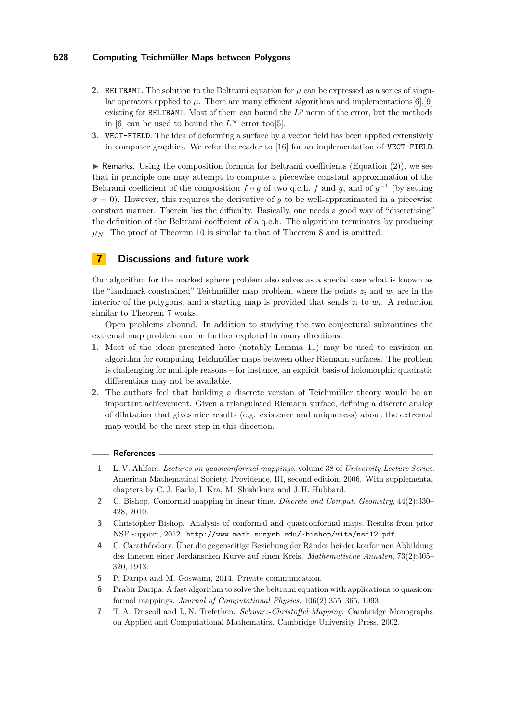- **2.** BELTRAMI. The solution to the Beltrami equation for  $\mu$  can be expressed as a series of singular operators applied to  $\mu$ . There are many efficient algorithms and implementations [\[6\]](#page-13-5), [\[9\]](#page-14-18) existing for BELTRAMI. Most of them can bound the  $L^p$  norm of the error, but the methods in [\[6\]](#page-13-5) can be used to bound the  $L^{\infty}$  error too[\[5\]](#page-13-6).
- **3.** VECT-FIELD. The idea of deforming a surface by a vector field has been applied extensively in computer graphics. We refer the reader to [\[16\]](#page-14-19) for an implementation of VECT-FIELD.

 $\triangleright$  Remarks. Using the composition formula for Beltrami coefficients (Equation [\(2\)](#page-5-1)), we see that in principle one may attempt to compute a piecewise constant approximation of the Beltrami coefficient of the composition  $f \circ g$  of two q.c.h. *f* and *g*, and of  $g^{-1}$  (by setting  $\sigma = 0$ ). However, this requires the derivative of *g* to be well-approximated in a piecewise constant manner. Therein lies the difficulty. Basically, one needs a good way of "discretising" the definition of the Beltrami coefficient of a q.c.h. The algorithm terminates by producing  $\mu_N$ . The proof of Theorem [10](#page-9-1) is similar to that of Theorem [8](#page-8-0) and is omitted.

# **7 Discussions and future work**

Our algorithm for the marked sphere problem also solves as a special case what is known as the "landmark constrained" Teichmüller map problem, where the points  $z_i$  and  $w_i$  are in the interior of the polygons, and a starting map is provided that sends *z<sup>i</sup>* to *w<sup>i</sup>* . A reduction similar to Theorem [7](#page-8-1) works.

Open problems abound. In addition to studying the two conjectural subroutines the extremal map problem can be further explored in many directions.

- **1.** Most of the ideas presented here (notably Lemma [11\)](#page-10-1) may be used to envision an algorithm for computing Teichmüller maps between other Riemann surfaces. The problem is challenging for multiple reasons – for instance, an explicit basis of holomorphic quadratic differentials may not be available.
- **2.** The authors feel that building a discrete version of Teichmüller theory would be an important achievement. Given a triangulated Riemann surface, defining a discrete analog of dilatation that gives nice results (e.g. existence and uniqueness) about the extremal map would be the next step in this direction.

### - References -

- <span id="page-13-1"></span>**1** L. V. Ahlfors. *Lectures on quasiconformal mappings*, volume 38 of *University Lecture Series*. American Mathematical Society, Providence, RI, second edition, 2006. With supplemental chapters by C. J. Earle, I. Kra, M. Shishikura and J. H. Hubbard.
- <span id="page-13-3"></span>**2** C. Bishop. Conformal mapping in linear time. *Discrete and Comput. Geometry*, 44(2):330– 428, 2010.
- <span id="page-13-4"></span>**3** Christopher Bishop. Analysis of conformal and quasiconformal maps. Results from prior NSF support, 2012. <http://www.math.sunysb.edu/~bishop/vita/nsf12.pdf>.
- <span id="page-13-0"></span>**4** C. Carathéodory. Über die gegenseitige Beziehung der Ränder bei der konformen Abbildung des Inneren einer Jordanschen Kurve auf einen Kreis. *Mathematische Annalen*, 73(2):305– 320, 1913.
- <span id="page-13-6"></span>**5** P. Daripa and M. Goswami, 2014. Private communication.
- <span id="page-13-5"></span>**6** Prabir Daripa. A fast algorithm to solve the beltrami equation with applications to quasiconformal mappings. *Journal of Computational Physics*, 106(2):355–365, 1993.
- <span id="page-13-2"></span>**7** T. A. Driscoll and L. N. Trefethen. *Schwarz-Christoffel Mapping*. Cambridge Monographs on Applied and Computational Mathematics. Cambridge University Press, 2002.